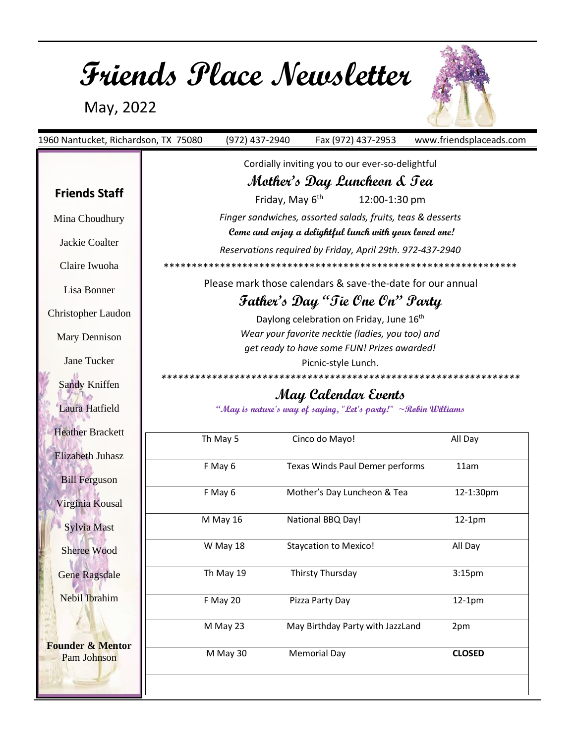# **Friends Place Newsletter**

May, 2022

| 1960 Nantucket, Richardson, TX 75080              |                                                                                                                                                       | (972) 437-2940                                              |  |                              | Fax (972) 437-2953                               |  | www.friendsplaceads.com |
|---------------------------------------------------|-------------------------------------------------------------------------------------------------------------------------------------------------------|-------------------------------------------------------------|--|------------------------------|--------------------------------------------------|--|-------------------------|
|                                                   |                                                                                                                                                       |                                                             |  |                              | Cordially inviting you to our ever-so-delightful |  |                         |
|                                                   | Mother's Day Luncheon & Tea                                                                                                                           |                                                             |  |                              |                                                  |  |                         |
| <b>Friends Staff</b>                              | Friday, May 6 <sup>th</sup><br>12:00-1:30 pm                                                                                                          |                                                             |  |                              |                                                  |  |                         |
| Mina Choudhury                                    |                                                                                                                                                       | Finger sandwiches, assorted salads, fruits, teas & desserts |  |                              |                                                  |  |                         |
|                                                   |                                                                                                                                                       | Come and enjoy a delightful lunch with your loved one!      |  |                              |                                                  |  |                         |
| Jackie Coalter                                    | Reservations required by Friday, April 29th. 972-437-2940                                                                                             |                                                             |  |                              |                                                  |  |                         |
| Claire Iwuoha                                     |                                                                                                                                                       |                                                             |  |                              |                                                  |  |                         |
| Lisa Bonner                                       | Please mark those calendars & save-the-date for our annual<br>Father's Day "Tie One On" Party<br>Daylong celebration on Friday, June 16 <sup>th</sup> |                                                             |  |                              |                                                  |  |                         |
|                                                   |                                                                                                                                                       |                                                             |  |                              |                                                  |  |                         |
| Christopher Laudon                                |                                                                                                                                                       |                                                             |  |                              |                                                  |  |                         |
| Mary Dennison                                     | Wear your favorite necktie (ladies, you too) and                                                                                                      |                                                             |  |                              |                                                  |  |                         |
| <b>Jane Tucker</b>                                |                                                                                                                                                       | get ready to have some FUN! Prizes awarded!                 |  |                              |                                                  |  |                         |
|                                                   | Picnic-style Lunch.                                                                                                                                   |                                                             |  |                              |                                                  |  |                         |
| <b>Sandy Kniffen</b>                              |                                                                                                                                                       |                                                             |  |                              |                                                  |  |                         |
| Laura Hatfield                                    | May Calendar Events<br>"May is nature's way of saying, "Let's party!" $\sim$ Robin Williams                                                           |                                                             |  |                              |                                                  |  |                         |
|                                                   |                                                                                                                                                       |                                                             |  |                              |                                                  |  |                         |
| <b>Heather Brackett</b>                           |                                                                                                                                                       | Th May 5                                                    |  | Cinco do Mayo!               |                                                  |  | All Day                 |
| <b>Elizabeth Juhasz</b>                           |                                                                                                                                                       |                                                             |  |                              |                                                  |  |                         |
| <b>Bill Ferguson</b>                              |                                                                                                                                                       | F May 6                                                     |  |                              | Texas Winds Paul Demer performs                  |  | 11am                    |
|                                                   |                                                                                                                                                       | F May 6                                                     |  |                              | Mother's Day Luncheon & Tea                      |  | 12-1:30pm               |
| Virginia Kousal                                   |                                                                                                                                                       |                                                             |  |                              |                                                  |  |                         |
| Sylvia Mast                                       |                                                                                                                                                       | M May 16                                                    |  | National BBQ Day!            |                                                  |  | $12-1pm$                |
| Sheree Wood                                       |                                                                                                                                                       | W May 18                                                    |  | <b>Staycation to Mexico!</b> |                                                  |  | All Day                 |
|                                                   |                                                                                                                                                       |                                                             |  |                              |                                                  |  |                         |
| <b>Gene Ragsdale</b>                              |                                                                                                                                                       | Th May 19                                                   |  | Thirsty Thursday             |                                                  |  | 3:15 <sub>pm</sub>      |
| Nebil Ibrahim                                     |                                                                                                                                                       | F May 20                                                    |  | Pizza Party Day              |                                                  |  | $12-1pm$                |
|                                                   |                                                                                                                                                       |                                                             |  |                              |                                                  |  |                         |
|                                                   |                                                                                                                                                       | M May 23                                                    |  |                              | May Birthday Party with JazzLand                 |  | 2pm                     |
| <b>Founder &amp; Mentor</b><br><b>Pam Johnson</b> |                                                                                                                                                       | M May 30                                                    |  | <b>Memorial Day</b>          |                                                  |  | <b>CLOSED</b>           |
|                                                   |                                                                                                                                                       |                                                             |  |                              |                                                  |  |                         |
|                                                   |                                                                                                                                                       |                                                             |  |                              |                                                  |  |                         |